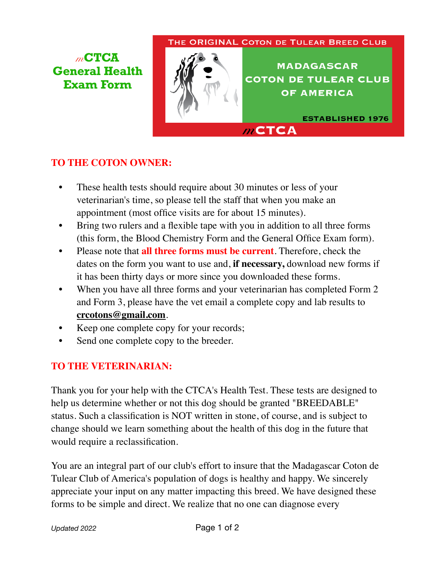## THE ORIGINAL COTON DE TULEAR BREED CLUB

 $m$ CTCA

*m***CTCA General Health Exam Form**



**MADAGASCAR COTON DE TULEAR CLUB OF AMERICA** 

**ESTABLISHED 1976** 

## **TO THE COTON OWNER:**

- *•* These health tests should require about 30 minutes or less of your veterinarian's time, so please tell the staff that when you make an appointment (most office visits are for about 15 minutes).
- *•* Bring two rulers and a flexible tape with you in addition to all three forms (this form, the Blood Chemistry Form and the General Office Exam form).
- *•* Please note that **all three forms must be current**. Therefore, check the dates on the form you want to use and, **if necessary,** download new forms if it has been thirty days or more since you downloaded these forms.
- *•* When you have all three forms and your veterinarian has completed Form 2 and Form 3, please have the vet email a complete copy and lab results to **crcotons@gmail.com**.
- *•* Keep one complete copy for your records;
- Send one complete copy to the breeder.

## **TO THE VETERINARIAN:**

Thank you for your help with the CTCA's Health Test. These tests are designed to help us determine whether or not this dog should be granted "BREEDABLE" status. Such a classification is NOT written in stone, of course, and is subject to change should we learn something about the health of this dog in the future that would require a reclassification.

You are an integral part of our club's effort to insure that the Madagascar Coton de Tulear Club of America's population of dogs is healthy and happy. We sincerely appreciate your input on any matter impacting this breed. We have designed these forms to be simple and direct. We realize that no one can diagnose every